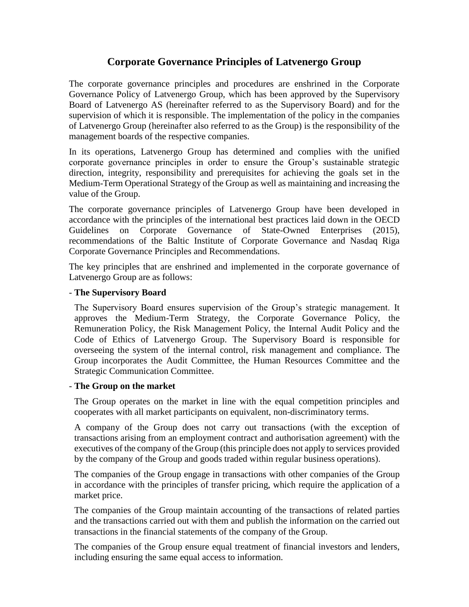# **Corporate Governance Principles of Latvenergo Group**

The corporate governance principles and procedures are enshrined in the Corporate Governance Policy of Latvenergo Group, which has been approved by the Supervisory Board of Latvenergo AS (hereinafter referred to as the Supervisory Board) and for the supervision of which it is responsible. The implementation of the policy in the companies of Latvenergo Group (hereinafter also referred to as the Group) is the responsibility of the management boards of the respective companies.

In its operations, Latvenergo Group has determined and complies with the unified corporate governance principles in order to ensure the Group's sustainable strategic direction, integrity, responsibility and prerequisites for achieving the goals set in the Medium-Term Operational Strategy of the Group as well as maintaining and increasing the value of the Group.

The corporate governance principles of Latvenergo Group have been developed in accordance with the principles of the international best practices laid down in the OECD Guidelines on Corporate Governance of State-Owned Enterprises (2015), recommendations of the Baltic Institute of Corporate Governance and Nasdaq Riga Corporate Governance Principles and Recommendations.

The key principles that are enshrined and implemented in the corporate governance of Latvenergo Group are as follows:

## - **The Supervisory Board**

The Supervisory Board ensures supervision of the Group's strategic management. It approves the Medium-Term Strategy, the Corporate Governance Policy, the Remuneration Policy, the Risk Management Policy, the Internal Audit Policy and the Code of Ethics of Latvenergo Group. The Supervisory Board is responsible for overseeing the system of the internal control, risk management and compliance. The Group incorporates the Audit Committee, the Human Resources Committee and the Strategic Communication Committee.

### - **The Group on the market**

The Group operates on the market in line with the equal competition principles and cooperates with all market participants on equivalent, non-discriminatory terms.

A company of the Group does not carry out transactions (with the exception of transactions arising from an employment contract and authorisation agreement) with the executives of the company of the Group (this principle does not apply to services provided by the company of the Group and goods traded within regular business operations).

The companies of the Group engage in transactions with other companies of the Group in accordance with the principles of transfer pricing, which require the application of a market price.

The companies of the Group maintain accounting of the transactions of related parties and the transactions carried out with them and publish the information on the carried out transactions in the financial statements of the company of the Group.

The companies of the Group ensure equal treatment of financial investors and lenders, including ensuring the same equal access to information.